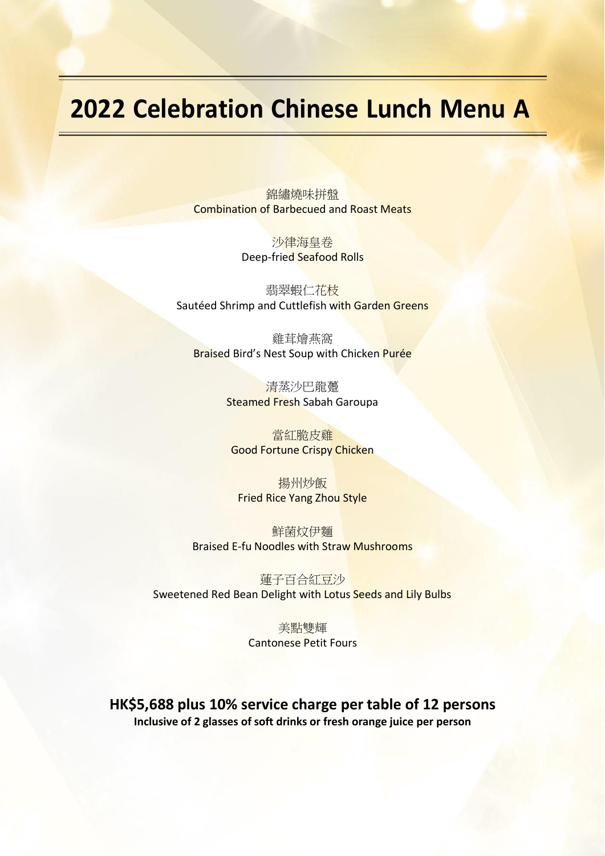## **2022 Celebration Chinese Lunch Menu A**

錦繡燒味拼盤 Combination of Barbecued and Roast Meats

> 沙律海皇卷 Deep-fried Seafood Rolls

翡翠蝦仁花枝 Sautéed Shrimp and Cuttlefish with Garden Greens

雞茸燴燕窩 Braised Bird's Nest Soup with Chicken Purée

> 清蒸沙巴龍躉 Steamed Fresh Sabah Garoupa

當紅脆皮雞 Good Fortune Crispy Chicken

揚州炒飯 Fried Rice Yang Zhou Style

鮮菌炆伊麵 Braised E-fu Noodles with Straw Mushrooms

蓮子百合紅豆沙 Sweetened Red Bean Delight with Lotus Seeds and Lily Bulbs

> 美點雙輝 Cantonese Petit Fours

**HK\$5,688 plus 10% service charge per table of 12 persons Inclusive of 2 glasses of soft drinks or fresh orange juice per person**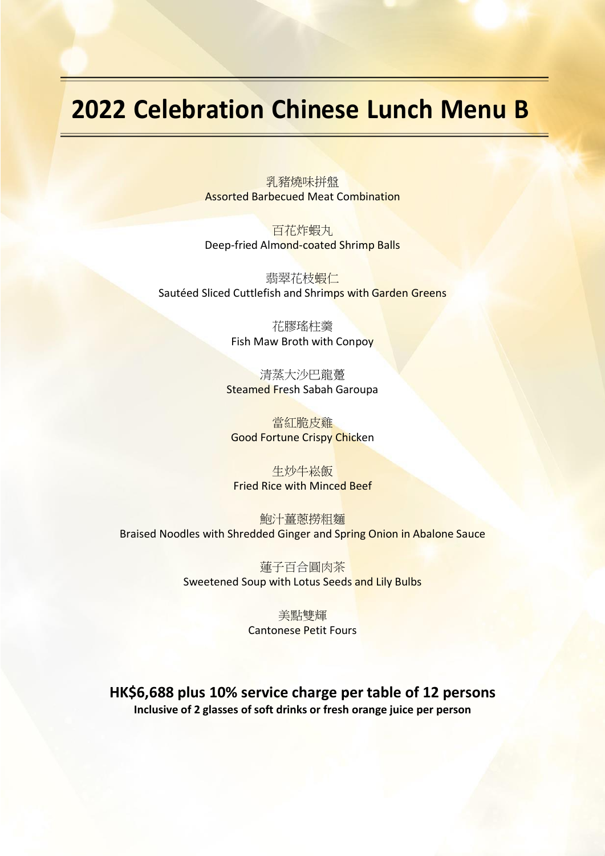## **2022 Celebration Chinese Lunch Menu B**

乳豬燒味拼盤 Assorted Barbecued Meat Combination

百花炸蝦丸 Deep-fried Almond-coated Shrimp Balls

翡翠花枝蝦仁 Sautéed Sliced Cuttlefish and Shrimps with Garden Greens

> 花膠瑤柱羹 Fish Maw Broth with Conpoy

清蒸大沙巴龍躉 Steamed Fresh Sabah Garoupa

當紅脆皮雞 Good Fortune Crispy Chicken

生炒牛崧飯 Fried Rice with Minced Beef

鮑汁薑蔥撈粗麵 Braised Noodles with Shredded Ginger and Spring Onion in Abalone Sauce

> 蓮子百合圓肉茶 Sweetened Soup with Lotus Seeds and Lily Bulbs

> > 美點雙輝 Cantonese Petit Fours

**HK\$6,688 plus 10% service charge per table of 12 persons Inclusive of 2 glasses of soft drinks or fresh orange juice per person**